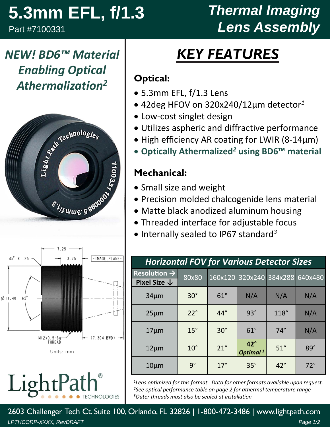# **5.3mm EFL, f/1.3**

Part #7100331

## *Thermal Imaging Lens Assembly*

## *NEW! BD6™ Material Enabling Optical Athermalization2*





LightPa **HNOLOGIES** 

## *KEY FEATURES*

#### **Optical:**

- 5.3mm EFL, f/1.3 Lens
- 42deg HFOV on 320x240/12µm detector*<sup>1</sup>*
- Low‐cost singlet design
- Utilizes aspheric and diffractive performance
- High efficiency AR coating for LWIR (8-14µm)
- **Optically Athermalized***<sup>2</sup>* **using BD6™ material**

#### **Mechanical:**

- Small size and weight
- Precision molded chalcogenide lens material
- Matte black anodized aluminum housing
- Threaded interface for adjustable focus
- Internally sealed to IP67 standard<sup>3</sup>

| <b>Horizontal FOV for Various Detector Sizes</b> |              |            |                                    |              |            |  |  |  |
|--------------------------------------------------|--------------|------------|------------------------------------|--------------|------------|--|--|--|
| Resolution $\rightarrow$                         | 80x80        |            | 160x120 320x240 384x288 640x480    |              |            |  |  |  |
| Pixel Size $\downarrow$                          |              |            |                                    |              |            |  |  |  |
| $34 \mu m$                                       | $30^\circ$   | $61^\circ$ | N/A                                | N/A          | N/A        |  |  |  |
| $25 \mu m$                                       | $22^\circ$   | $44^\circ$ | $93^\circ$                         | 118°         | N/A        |  |  |  |
| $17 \mu m$                                       | $15^\circ$   | $30^\circ$ | $61^\circ$                         | $74^\circ$   | N/A        |  |  |  |
| $12 \mu m$                                       | $10^{\circ}$ | 21°        | $42^\circ$<br>Optimal <sup>1</sup> | $51^\circ$   | $89^\circ$ |  |  |  |
| $10 \mu m$                                       | $9^{\circ}$  | $17^\circ$ | $35^\circ$                         | $42^{\circ}$ | $72^\circ$ |  |  |  |

*1Lens optimized for this format. Data for other formats available upon request. 2See optical performance table on page 2 for athermal temperature range 3Outer threads must also be sealed at installation*

*LPTHCORP-XXXX, RevDRAFT Page 1/2* 2603 Challenger Tech Ct. Suite 100, Orlando, FL 32826 | 1-800-472-3486 | www.lightpath.com